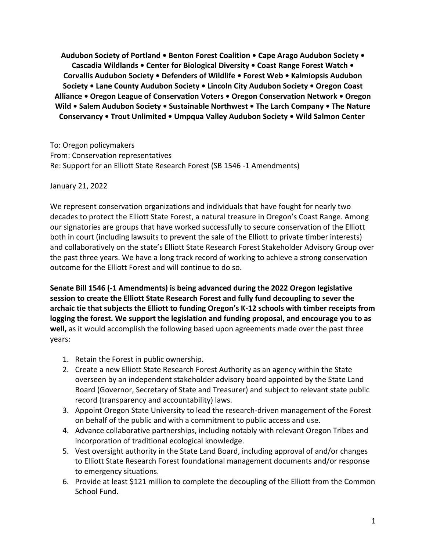**Audubon Society of Portland • Benton Forest Coalition • Cape Arago Audubon Society • Cascadia Wildlands • Center for Biological Diversity • Coast Range Forest Watch • Corvallis Audubon Society • Defenders of Wildlife • Forest Web • Kalmiopsis Audubon Society • Lane County Audubon Society • Lincoln City Audubon Society • Oregon Coast Alliance • Oregon League of Conservation Voters • Oregon Conservation Network • Oregon Wild • Salem Audubon Society • Sustainable Northwest • The Larch Company • The Nature Conservancy • Trout Unlimited • Umpqua Valley Audubon Society • Wild Salmon Center**

To: Oregon policymakers From: Conservation representatives Re: Support for an Elliott State Research Forest (SB 1546 -1 Amendments)

January 21, 2022

We represent conservation organizations and individuals that have fought for nearly two decades to protect the Elliott State Forest, a natural treasure in Oregon's Coast Range. Among our signatories are groups that have worked successfully to secure conservation of the Elliott both in court (including lawsuits to prevent the sale of the Elliott to private timber interests) and collaboratively on the state's Elliott State Research Forest Stakeholder Advisory Group over the past three years. We have a long track record of working to achieve a strong conservation outcome for the Elliott Forest and will continue to do so.

**Senate Bill 1546 (-1 Amendments) is being advanced during the 2022 Oregon legislative session to create the Elliott State Research Forest and fully fund decoupling to sever the archaic tie that subjects the Elliott to funding Oregon's K-12 schools with timber receipts from logging the forest. We support the legislation and funding proposal, and encourage you to as well,** as it would accomplish the following based upon agreements made over the past three years:

- 1. Retain the Forest in public ownership.
- 2. Create a new Elliott State Research Forest Authority as an agency within the State overseen by an independent stakeholder advisory board appointed by the State Land Board (Governor, Secretary of State and Treasurer) and subject to relevant state public record (transparency and accountability) laws.
- 3. Appoint Oregon State University to lead the research-driven management of the Forest on behalf of the public and with a commitment to public access and use.
- 4. Advance collaborative partnerships, including notably with relevant Oregon Tribes and incorporation of traditional ecological knowledge.
- 5. Vest oversight authority in the State Land Board, including approval of and/or changes to Elliott State Research Forest foundational management documents and/or response to emergency situations.
- 6. Provide at least \$121 million to complete the decoupling of the Elliott from the Common School Fund.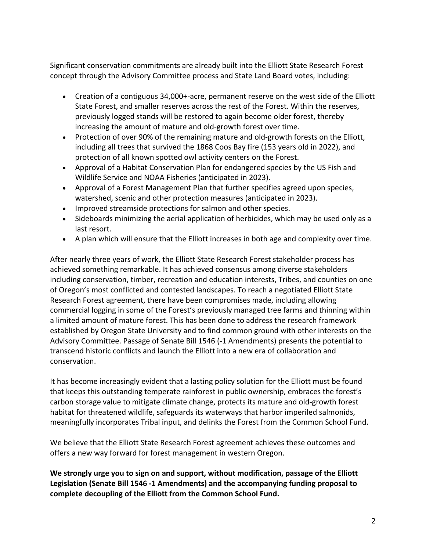Significant conservation commitments are already built into the Elliott State Research Forest concept through the Advisory Committee process and State Land Board votes, including:

- Creation of a contiguous 34,000+-acre, permanent reserve on the west side of the Elliott State Forest, and smaller reserves across the rest of the Forest. Within the reserves, previously logged stands will be restored to again become older forest, thereby increasing the amount of mature and old-growth forest over time.
- Protection of over 90% of the remaining mature and old-growth forests on the Elliott, including all trees that survived the 1868 Coos Bay fire (153 years old in 2022), and protection of all known spotted owl activity centers on the Forest.
- Approval of a Habitat Conservation Plan for endangered species by the US Fish and Wildlife Service and NOAA Fisheries (anticipated in 2023).
- Approval of a Forest Management Plan that further specifies agreed upon species, watershed, scenic and other protection measures (anticipated in 2023).
- Improved streamside protections for salmon and other species.
- Sideboards minimizing the aerial application of herbicides, which may be used only as a last resort.
- A plan which will ensure that the Elliott increases in both age and complexity over time.

After nearly three years of work, the Elliott State Research Forest stakeholder process has achieved something remarkable. It has achieved consensus among diverse stakeholders including conservation, timber, recreation and education interests, Tribes, and counties on one of Oregon's most conflicted and contested landscapes. To reach a negotiated Elliott State Research Forest agreement, there have been compromises made, including allowing commercial logging in some of the Forest's previously managed tree farms and thinning within a limited amount of mature forest. This has been done to address the research framework established by Oregon State University and to find common ground with other interests on the Advisory Committee. Passage of Senate Bill 1546 (-1 Amendments) presents the potential to transcend historic conflicts and launch the Elliott into a new era of collaboration and conservation.

It has become increasingly evident that a lasting policy solution for the Elliott must be found that keeps this outstanding temperate rainforest in public ownership, embraces the forest's carbon storage value to mitigate climate change, protects its mature and old-growth forest habitat for threatened wildlife, safeguards its waterways that harbor imperiled salmonids, meaningfully incorporates Tribal input, and delinks the Forest from the Common School Fund.

We believe that the Elliott State Research Forest agreement achieves these outcomes and offers a new way forward for forest management in western Oregon.

**We strongly urge you to sign on and support, without modification, passage of the Elliott Legislation (Senate Bill 1546 -1 Amendments) and the accompanying funding proposal to complete decoupling of the Elliott from the Common School Fund.**